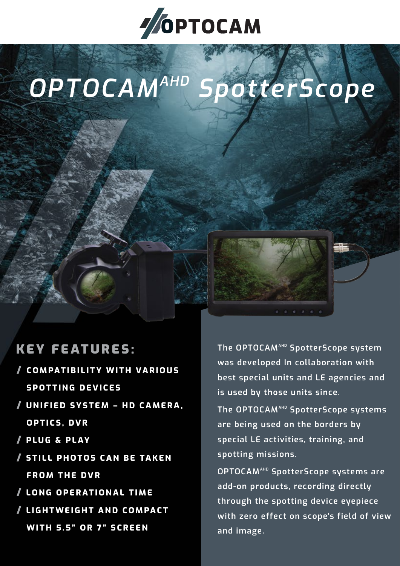

# *OPTOCAMAHD SpotterScope*

## KEY FEATURES:

- / **COMPATIBILITY WITH VARIOUS SPOTTING DEVICES**
- / **UNIFIED SYSTEM HD CAMERA, OPTICS, DVR**
- / **PLUG & PLAY**
- / **STILL PHOTOS CAN BE TAKEN FROM THE DVR**
- / **LONG OPERATIONAL TIME**
- / **LIGHTWEIGHT AND COMPACT WITH 5.5" OR 7" SCREEN**

**The OPTOCAMAHD SpotterScope system was developed In collaboration with best special units and LE agencies and is used by those units since.**

**The OPTOCAMAHD SpotterScope systems are being used on the borders by special LE activities, training, and spotting missions.**

**OPTOCAMAHD SpotterScope systems are add-on products, recording directly through the spotting device eyepiece with zero effect on scope's field of view and image.**